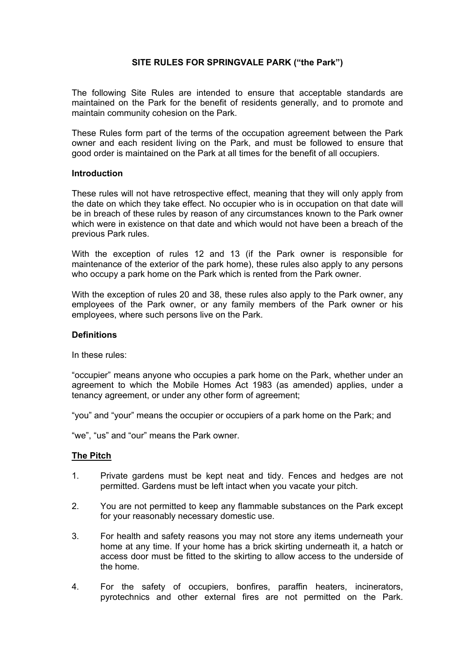### **SITE RULES FOR SPRINGVALE PARK ("the Park")**

The following Site Rules are intended to ensure that acceptable standards are maintained on the Park for the benefit of residents generally, and to promote and maintain community cohesion on the Park.

These Rules form part of the terms of the occupation agreement between the Park owner and each resident living on the Park, and must be followed to ensure that good order is maintained on the Park at all times for the benefit of all occupiers.

### **Introduction**

These rules will not have retrospective effect, meaning that they will only apply from the date on which they take effect. No occupier who is in occupation on that date will be in breach of these rules by reason of any circumstances known to the Park owner which were in existence on that date and which would not have been a breach of the previous Park rules.

With the exception of rules 12 and 13 (if the Park owner is responsible for maintenance of the exterior of the park home), these rules also apply to any persons who occupy a park home on the Park which is rented from the Park owner.

With the exception of rules 20 and 38, these rules also apply to the Park owner, any employees of the Park owner, or any family members of the Park owner or his employees, where such persons live on the Park.

#### **Definitions**

In these rules:

"occupier" means anyone who occupies a park home on the Park, whether under an agreement to which the Mobile Homes Act 1983 (as amended) applies, under a tenancy agreement, or under any other form of agreement;

"you" and "your" means the occupier or occupiers of a park home on the Park; and

"we", "us" and "our" means the Park owner.

#### **The Pitch**

- 1. Private gardens must be kept neat and tidy. Fences and hedges are not permitted. Gardens must be left intact when you vacate your pitch.
- 2. You are not permitted to keep any flammable substances on the Park except for your reasonably necessary domestic use.
- 3. For health and safety reasons you may not store any items underneath your home at any time. If your home has a brick skirting underneath it, a hatch or access door must be fitted to the skirting to allow access to the underside of the home.
- 4. For the safety of occupiers, bonfires, paraffin heaters, incinerators, pyrotechnics and other external fires are not permitted on the Park.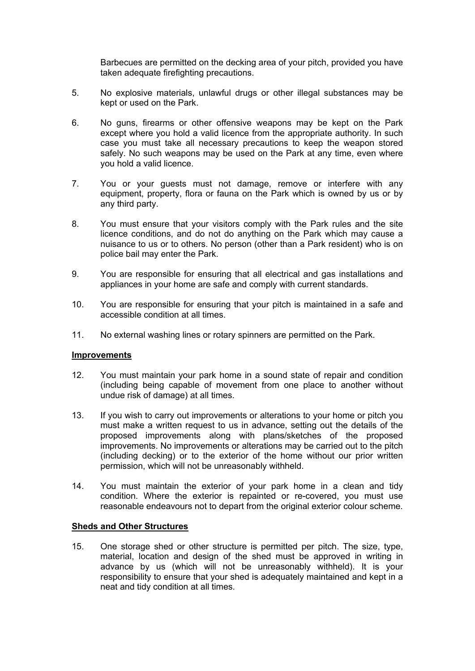Barbecues are permitted on the decking area of your pitch, provided you have taken adequate firefighting precautions.

- 5. No explosive materials, unlawful drugs or other illegal substances may be kept or used on the Park.
- 6. No guns, firearms or other offensive weapons may be kept on the Park except where you hold a valid licence from the appropriate authority. In such case you must take all necessary precautions to keep the weapon stored safely. No such weapons may be used on the Park at any time, even where you hold a valid licence.
- 7. You or your guests must not damage, remove or interfere with any equipment, property, flora or fauna on the Park which is owned by us or by any third party.
- 8. You must ensure that your visitors comply with the Park rules and the site licence conditions, and do not do anything on the Park which may cause a nuisance to us or to others. No person (other than a Park resident) who is on police bail may enter the Park.
- 9. You are responsible for ensuring that all electrical and gas installations and appliances in your home are safe and comply with current standards.
- 10. You are responsible for ensuring that your pitch is maintained in a safe and accessible condition at all times.
- 11. No external washing lines or rotary spinners are permitted on the Park.

### **Improvements**

- 12. You must maintain your park home in a sound state of repair and condition (including being capable of movement from one place to another without undue risk of damage) at all times.
- 13. If you wish to carry out improvements or alterations to your home or pitch you must make a written request to us in advance, setting out the details of the proposed improvements along with plans/sketches of the proposed improvements. No improvements or alterations may be carried out to the pitch (including decking) or to the exterior of the home without our prior written permission, which will not be unreasonably withheld.
- 14. You must maintain the exterior of your park home in a clean and tidy condition. Where the exterior is repainted or re-covered, you must use reasonable endeavours not to depart from the original exterior colour scheme.

### **Sheds and Other Structures**

15. One storage shed or other structure is permitted per pitch. The size, type, material, location and design of the shed must be approved in writing in advance by us (which will not be unreasonably withheld). It is your responsibility to ensure that your shed is adequately maintained and kept in a neat and tidy condition at all times.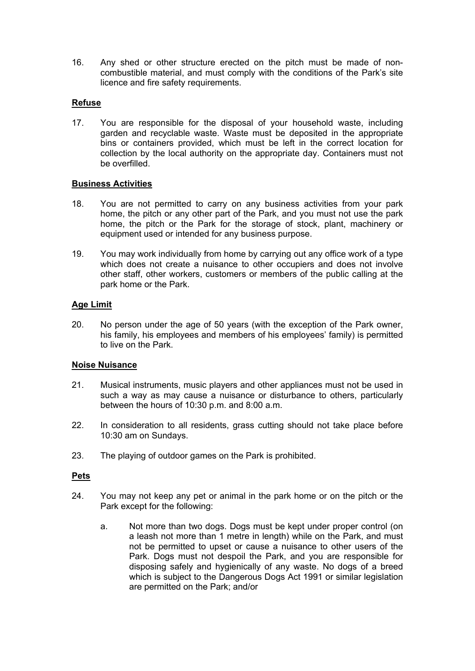16. Any shed or other structure erected on the pitch must be made of noncombustible material, and must comply with the conditions of the Park's site licence and fire safety requirements.

# **Refuse**

17. You are responsible for the disposal of your household waste, including garden and recyclable waste. Waste must be deposited in the appropriate bins or containers provided, which must be left in the correct location for collection by the local authority on the appropriate day. Containers must not be overfilled.

## **Business Activities**

- 18. You are not permitted to carry on any business activities from your park home, the pitch or any other part of the Park, and you must not use the park home, the pitch or the Park for the storage of stock, plant, machinery or equipment used or intended for any business purpose.
- 19. You may work individually from home by carrying out any office work of a type which does not create a nuisance to other occupiers and does not involve other staff, other workers, customers or members of the public calling at the park home or the Park.

## **Age Limit**

20. No person under the age of 50 years (with the exception of the Park owner, his family, his employees and members of his employees' family) is permitted to live on the Park.

## **Noise Nuisance**

- 21. Musical instruments, music players and other appliances must not be used in such a way as may cause a nuisance or disturbance to others, particularly between the hours of 10:30 p.m. and 8:00 a.m.
- 22. In consideration to all residents, grass cutting should not take place before 10:30 am on Sundays.
- 23. The playing of outdoor games on the Park is prohibited.

### **Pets**

- 24. You may not keep any pet or animal in the park home or on the pitch or the Park except for the following:
	- a. Not more than two dogs. Dogs must be kept under proper control (on a leash not more than 1 metre in length) while on the Park, and must not be permitted to upset or cause a nuisance to other users of the Park. Dogs must not despoil the Park, and you are responsible for disposing safely and hygienically of any waste. No dogs of a breed which is subject to the Dangerous Dogs Act 1991 or similar legislation are permitted on the Park; and/or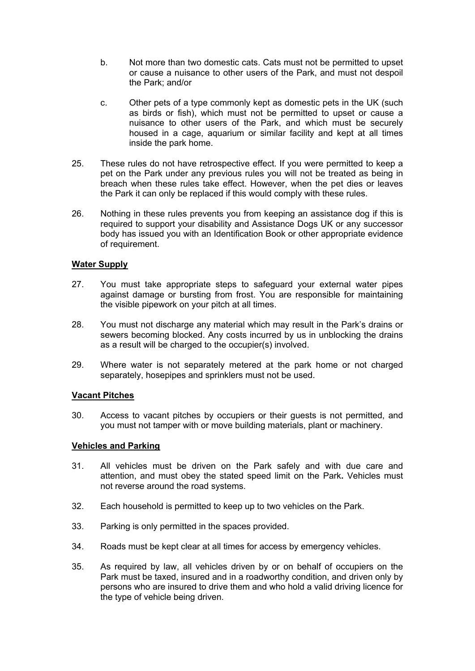- b. Not more than two domestic cats. Cats must not be permitted to upset or cause a nuisance to other users of the Park, and must not despoil the Park; and/or
- c. Other pets of a type commonly kept as domestic pets in the UK (such as birds or fish), which must not be permitted to upset or cause a nuisance to other users of the Park, and which must be securely housed in a cage, aquarium or similar facility and kept at all times inside the park home.
- 25. These rules do not have retrospective effect. If you were permitted to keep a pet on the Park under any previous rules you will not be treated as being in breach when these rules take effect. However, when the pet dies or leaves the Park it can only be replaced if this would comply with these rules.
- 26. Nothing in these rules prevents you from keeping an assistance dog if this is required to support your disability and Assistance Dogs UK or any successor body has issued you with an Identification Book or other appropriate evidence of requirement.

## **Water Supply**

- 27. You must take appropriate steps to safeguard your external water pipes against damage or bursting from frost. You are responsible for maintaining the visible pipework on your pitch at all times.
- 28. You must not discharge any material which may result in the Park's drains or sewers becoming blocked. Any costs incurred by us in unblocking the drains as a result will be charged to the occupier(s) involved.
- 29. Where water is not separately metered at the park home or not charged separately, hosepipes and sprinklers must not be used.

### **Vacant Pitches**

30. Access to vacant pitches by occupiers or their guests is not permitted, and you must not tamper with or move building materials, plant or machinery.

### **Vehicles and Parking**

- 31. All vehicles must be driven on the Park safely and with due care and attention, and must obey the stated speed limit on the Park**.** Vehicles must not reverse around the road systems.
- 32. Each household is permitted to keep up to two vehicles on the Park.
- 33. Parking is only permitted in the spaces provided.
- 34. Roads must be kept clear at all times for access by emergency vehicles.
- 35. As required by law, all vehicles driven by or on behalf of occupiers on the Park must be taxed, insured and in a roadworthy condition, and driven only by persons who are insured to drive them and who hold a valid driving licence for the type of vehicle being driven.